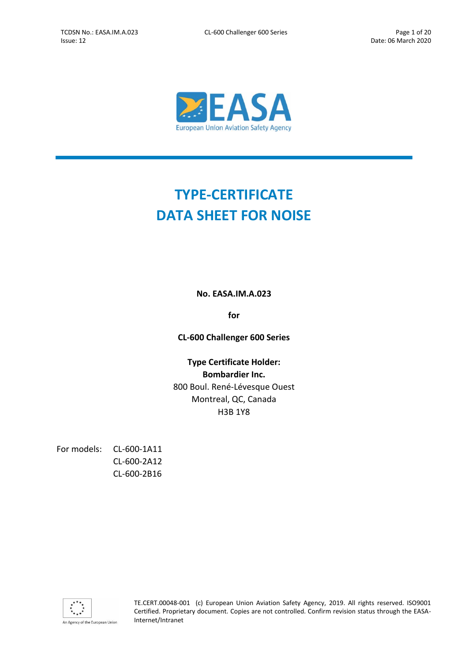

## **TYPE-CERTIFICATE DATA SHEET FOR NOISE**

**No. EASA.IM.A.023**

**for**

**CL-600 Challenger 600 Series**

**Type Certificate Holder: Bombardier Inc.** 800 Boul. René-Lévesque Ouest Montreal, QC, Canada H3B 1Y8

For models: CL-600-1A11 CL-600-2A12 CL-600-2B16

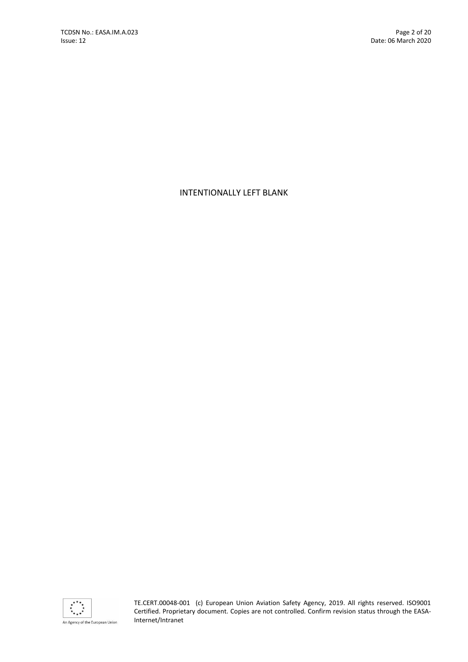## INTENTIONALLY LEFT BLANK

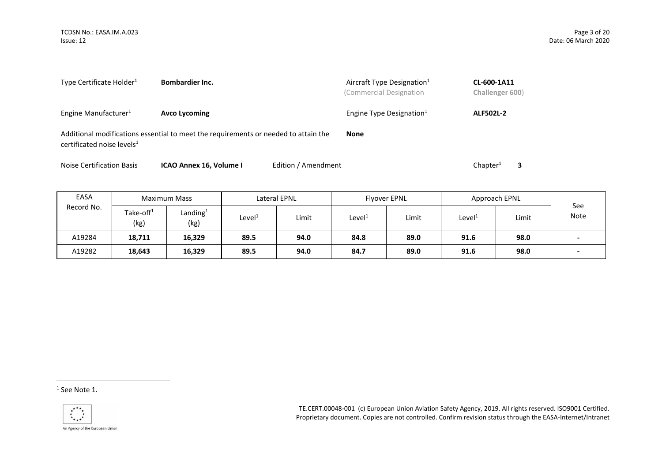| Type Certificate Holder <sup>1</sup>   | <b>Bombardier Inc.</b>                                                              |                     | Aircraft Type Designation <sup>1</sup><br>(Commercial Designation | CL-600-1A11<br>Challenger 600) |  |
|----------------------------------------|-------------------------------------------------------------------------------------|---------------------|-------------------------------------------------------------------|--------------------------------|--|
| Engine Manufacturer <sup>1</sup>       | <b>Avco Lycoming</b>                                                                |                     | Engine Type Designation <sup>1</sup>                              | ALF502L-2                      |  |
| certificated noise levels <sup>1</sup> | Additional modifications essential to meet the requirements or needed to attain the |                     | None                                                              |                                |  |
| Noise Certification Basis              | <b>ICAO Annex 16, Volume I</b>                                                      | Edition / Amendment |                                                                   | Chapter <sup>1</sup>           |  |

| <b>EASA</b> | Maximum Mass         |                     | Lateral EPNL       |       | <b>Flyover EPNL</b> |       | Approach EPNL    |       |                    |
|-------------|----------------------|---------------------|--------------------|-------|---------------------|-------|------------------|-------|--------------------|
| Record No.  | Take-off $1$<br>(kg) | Landing $1$<br>(kg) | Level <sup>1</sup> | Limit | Level $1$           | Limit | Level $^{\rm 1}$ | Limit | See<br><b>Note</b> |
| A19284      | 18,711               | 16,329              | 89.5               | 94.0  | 84.8                | 89.0  | 91.6             | 98.0  |                    |
| A19282      | 18,643               | 16,329              | 89.5               | 94.0  | 84.7                | 89.0  | 91.6             | 98.0  |                    |

 $<sup>1</sup>$  See Note 1.</sup>

 $\overline{a}$ 

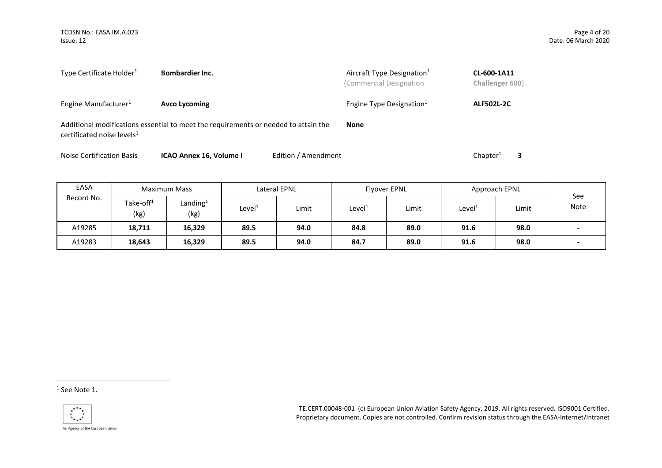TCDSN No.: EASA.IM.A.023 Page 4 of 20 Issue: 12 Date: 06 March 2020

| Type Certificate Holder <sup>1</sup>   | <b>Bombardier Inc.</b>                                                              |                     | Aircraft Type Designation <sup>1</sup><br>(Commercial Designation | CL-600-1A11<br>Challenger 600) |   |
|----------------------------------------|-------------------------------------------------------------------------------------|---------------------|-------------------------------------------------------------------|--------------------------------|---|
| Engine Manufacturer <sup>1</sup>       | <b>Avco Lycoming</b>                                                                |                     | Engine Type Designation $1$                                       | <b>ALF502L-2C</b>              |   |
| certificated noise levels <sup>1</sup> | Additional modifications essential to meet the requirements or needed to attain the |                     | <b>None</b>                                                       |                                |   |
| Noise Certification Basis              | <b>ICAO Annex 16, Volume I</b>                                                      | Edition / Amendment |                                                                   | Chapter <sup>1</sup>           | 3 |

| EASA       | <b>Maximum Mass</b>           |                     | Lateral EPNL       |       | <b>Flyover EPNL</b> |       | Approach EPNL |       |                    |
|------------|-------------------------------|---------------------|--------------------|-------|---------------------|-------|---------------|-------|--------------------|
| Record No. | Take-off <sup>1</sup><br>(kg) | Landing $1$<br>(kg) | Level <sup>1</sup> | Limit | Level <sup>1</sup>  | Limit | Level $^1$    | Limit | See<br><b>Note</b> |
| A19285     | 18,711                        | 16,329              | 89.5               | 94.0  | 84.8                | 89.0  | 91.6          | 98.0  |                    |
| A19283     | 18,643                        | 16,329              | 89.5               | 94.0  | 84.7                | 89.0  | 91.6          | 98.0  |                    |

 $<sup>1</sup>$  See Note 1.</sup>

 $\overline{a}$ 

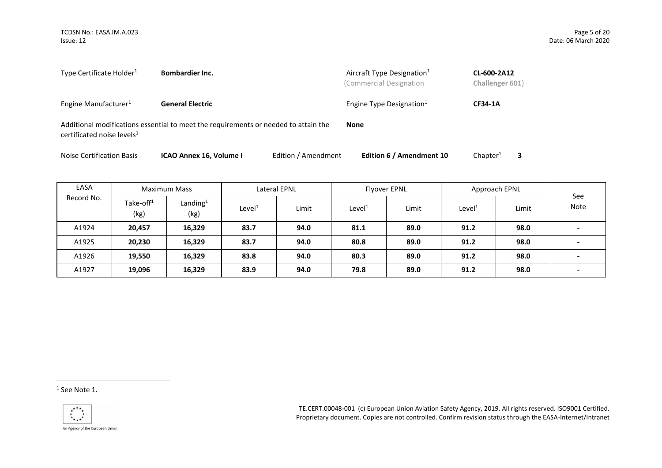TCDSN No.: EASA.IM.A.023 Page 5 of 20 Issue: 12 Date: 06 March 2020

| Type Certificate Holder <sup>1</sup>   | <b>Bombardier Inc.</b>                                                              |                     | Aircraft Type Designation <sup>1</sup><br>(Commercial Designation | CL-600-2A12<br>Challenger 601) |  |
|----------------------------------------|-------------------------------------------------------------------------------------|---------------------|-------------------------------------------------------------------|--------------------------------|--|
| Engine Manufacturer <sup>1</sup>       | <b>General Electric</b>                                                             |                     | Engine Type Designation <sup>1</sup>                              | <b>CF34-1A</b>                 |  |
| certificated noise levels <sup>1</sup> | Additional modifications essential to meet the requirements or needed to attain the |                     | None                                                              |                                |  |
| Noise Certification Basis              | ICAO Annex 16, Volume I                                                             | Edition / Amendment | Edition 6 / Amendment 10                                          | Chapter <sup>1</sup>           |  |

| EASA       | <b>Maximum Mass</b>           |                     | Lateral EPNL       |       | <b>Flyover EPNL</b> |       | Approach EPNL      |       |                    |
|------------|-------------------------------|---------------------|--------------------|-------|---------------------|-------|--------------------|-------|--------------------|
| Record No. | Take-off <sup>1</sup><br>(kg) | Landing $1$<br>(kg) | Level <sup>1</sup> | Limit | Level $1$           | Limit | Level <sup>1</sup> | Limit | See<br><b>Note</b> |
| A1924      | 20,457                        | 16,329              | 83.7               | 94.0  | 81.1                | 89.0  | 91.2               | 98.0  |                    |
| A1925      | 20,230                        | 16,329              | 83.7               | 94.0  | 80.8                | 89.0  | 91.2               | 98.0  |                    |
| A1926      | 19,550                        | 16,329              | 83.8               | 94.0  | 80.3                | 89.0  | 91.2               | 98.0  |                    |
| A1927      | 19,096                        | 16,329              | 83.9               | 94.0  | 79.8                | 89.0  | 91.2               | 98.0  |                    |

 $<sup>1</sup>$  See Note 1.</sup>

 $\overline{a}$ 

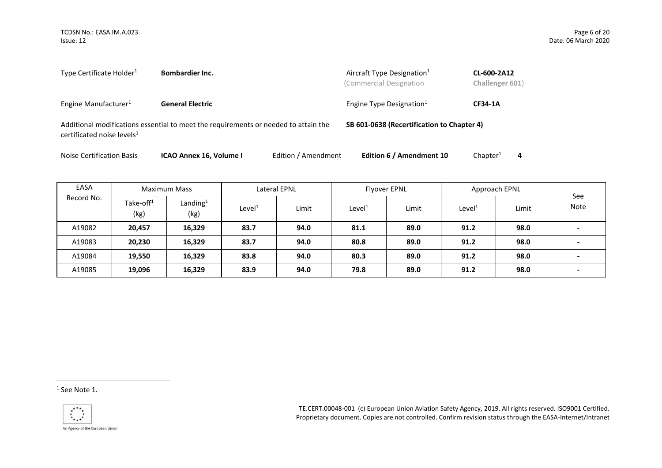TCDSN No.: EASA.IM.A.023 Page 6 of 20 Issue: 12 Date: 06 March 2020

| Type Certificate Holder <sup>1</sup>   | <b>Bombardier Inc.</b>                                                              |                     | Aircraft Type Designation <sup>1</sup><br>(Commercial Designation | CL-600-2A12<br>Challenger 601) |   |
|----------------------------------------|-------------------------------------------------------------------------------------|---------------------|-------------------------------------------------------------------|--------------------------------|---|
| Engine Manufacturer <sup>1</sup>       | <b>General Electric</b>                                                             |                     | Engine Type Designation <sup>1</sup>                              | <b>CF34-1A</b>                 |   |
| certificated noise levels <sup>1</sup> | Additional modifications essential to meet the requirements or needed to attain the |                     | SB 601-0638 (Recertification to Chapter 4)                        |                                |   |
| Noise Certification Basis              | <b>ICAO Annex 16, Volume I</b>                                                      | Edition / Amendment | Edition 6 / Amendment 10                                          | Chapter <sup>1</sup>           | 4 |

| EASA       |                      | <b>Maximum Mass</b> | Lateral EPNL       |       | <b>Flyover EPNL</b> |       | Approach EPNL      |       |                    |
|------------|----------------------|---------------------|--------------------|-------|---------------------|-------|--------------------|-------|--------------------|
| Record No. | Take-off $1$<br>(kg) | Landing $1$<br>(kg) | Level <sup>1</sup> | Limit | Level <sup>1</sup>  | Limit | Level <sup>1</sup> | Limit | See<br><b>Note</b> |
| A19082     | 20,457               | 16,329              | 83.7               | 94.0  | 81.1                | 89.0  | 91.2               | 98.0  |                    |
| A19083     | 20,230               | 16,329              | 83.7               | 94.0  | 80.8                | 89.0  | 91.2               | 98.0  |                    |
| A19084     | 19,550               | 16,329              | 83.8               | 94.0  | 80.3                | 89.0  | 91.2               | 98.0  |                    |
| A19085     | 19,096               | 16,329              | 83.9               | 94.0  | 79.8                | 89.0  | 91.2               | 98.0  |                    |

 $<sup>1</sup>$  See Note 1.</sup>

 $\overline{a}$ 

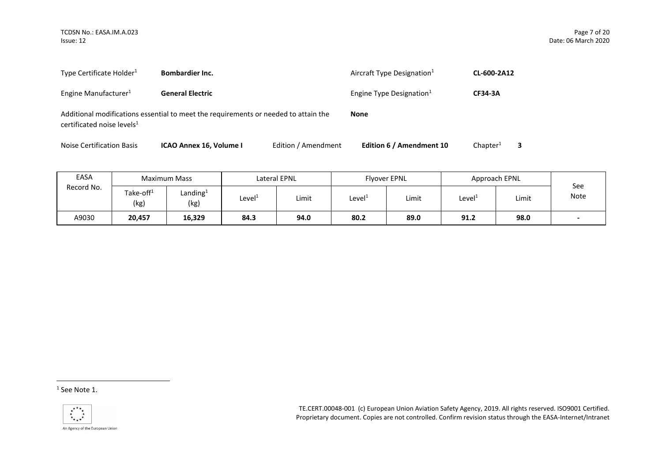TCDSN No.: EASA.IM.A.023 Page 7 of 20 Issue: 12 Date: 06 March 2020

| Type Certificate Holder <sup>1</sup>   | <b>Bombardier Inc.</b>                                                              |                     | Aircraft Type Designation <sup>1</sup> | CL-600-2A12          |   |
|----------------------------------------|-------------------------------------------------------------------------------------|---------------------|----------------------------------------|----------------------|---|
| Engine Manufacturer <sup>1</sup>       | Engine Type Designation $1$<br><b>General Electric</b>                              |                     |                                        |                      |   |
| certificated noise levels <sup>1</sup> | Additional modifications essential to meet the requirements or needed to attain the |                     | <b>None</b>                            |                      |   |
| Noise Certification Basis              | <b>ICAO Annex 16, Volume I</b>                                                      | Edition / Amendment | Edition 6 / Amendment 10               | Chapter <sup>1</sup> | 3 |

| EASA       | <b>Maximum Mass</b>  |                      | Lateral EPNL     |       | <b>Flyover EPNL</b> |       | Approach EPNL      |       |             |
|------------|----------------------|----------------------|------------------|-------|---------------------|-------|--------------------|-------|-------------|
| Record No. | Take-off $1$<br>(kg) | Landing $^1$<br>(kg) | Level $^{\rm 1}$ | Limit | Level $^{\rm 1}$    | Limit | Level <sup>1</sup> | Limit | See<br>Note |
| A9030      | 20,457               | 16,329               | 84.3             | 94.0  | 80.2                | 89.0  | 91.2               | 98.0  |             |

 $<sup>1</sup>$  See Note 1.</sup>

 $\overline{a}$ 

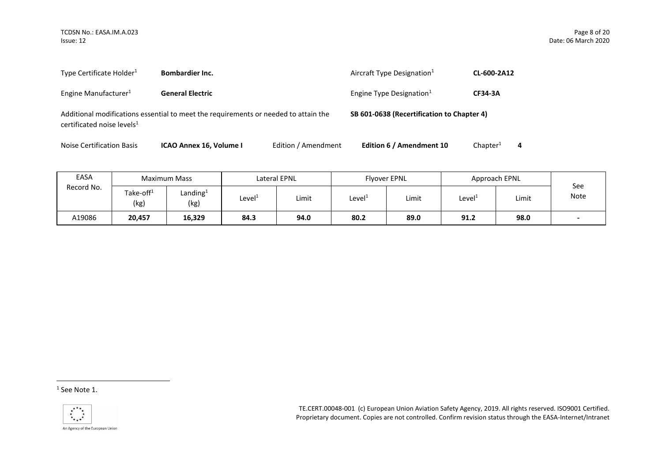TCDSN No.: EASA.IM.A.023 Page 8 of 20 Issue: 12 Date: 06 March 2020

| Type Certificate Holder <sup>1</sup>   | <b>Bombardier Inc.</b>                                                              |                                            | Aircraft Type Designation <sup>1</sup> | CL-600-2A12          |   |
|----------------------------------------|-------------------------------------------------------------------------------------|--------------------------------------------|----------------------------------------|----------------------|---|
| Engine Manufacturer <sup>1</sup>       | <b>General Electric</b>                                                             |                                            | Engine Type Designation $1$            | <b>CF34-3A</b>       |   |
| certificated noise levels <sup>1</sup> | Additional modifications essential to meet the requirements or needed to attain the | SB 601-0638 (Recertification to Chapter 4) |                                        |                      |   |
| <b>Noise Certification Basis</b>       | ICAO Annex 16, Volume I                                                             | Edition / Amendment                        | Edition 6 / Amendment 10               | Chapter <sup>1</sup> | 4 |

| EASA       | <b>Maximum Mass</b>  |                      | Lateral EPNL     |       | <b>Flyover EPNL</b> |       | Approach EPNL      |       |             |
|------------|----------------------|----------------------|------------------|-------|---------------------|-------|--------------------|-------|-------------|
| Record No. | Take-off $1$<br>(kg) | Landing $^1$<br>(kg) | Level $^{\rm 1}$ | Limit | Level $^{\rm 1}$    | Limit | Level <del>'</del> | Limit | See<br>Note |
| A19086     | 20,457               | 16,329               | 84.3             | 94.0  | 80.2                | 89.0  | 91.2               | 98.0  |             |

 $<sup>1</sup>$  See Note 1.</sup>

 $\overline{a}$ 

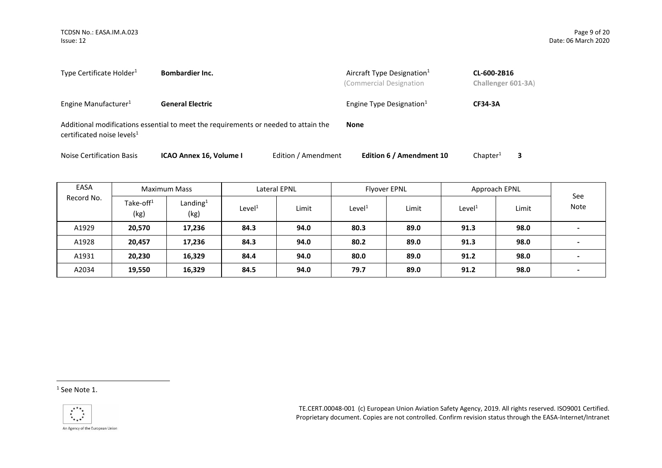TCDSN No.: EASA.IM.A.023 Page 9 of 20 Issue: 12 Date: 06 March 2020

| Type Certificate Holder <sup>1</sup>   | <b>Bombardier Inc.</b>                                                              |                     | Aircraft Type Designation <sup>1</sup><br>(Commercial Designation | CL-600-2B16<br>Challenger 601-3A) |  |
|----------------------------------------|-------------------------------------------------------------------------------------|---------------------|-------------------------------------------------------------------|-----------------------------------|--|
| Engine Manufacturer <sup>1</sup>       | <b>General Electric</b>                                                             |                     | Engine Type Designation <sup>1</sup>                              | <b>CF34-3A</b>                    |  |
| certificated noise levels <sup>1</sup> | Additional modifications essential to meet the requirements or needed to attain the |                     | <b>None</b>                                                       |                                   |  |
| Noise Certification Basis              | <b>ICAO Annex 16, Volume I</b>                                                      | Edition / Amendment | Edition 6 / Amendment 10                                          | ${\sf Chapter^1}$                 |  |

| EASA       | <b>Maximum Mass</b>           |                     | Lateral EPNL |       | <b>Flyover EPNL</b> |       | Approach EPNL |       | See  |
|------------|-------------------------------|---------------------|--------------|-------|---------------------|-------|---------------|-------|------|
| Record No. | Take-off <sup>1</sup><br>(kg) | Landing $1$<br>(kg) | Level $1$    | Limit | Level <sup>1</sup>  | Limit | Level $1$     | Limit | Note |
| A1929      | 20,570                        | 17,236              | 84.3         | 94.0  | 80.3                | 89.0  | 91.3          | 98.0  |      |
| A1928      | 20,457                        | 17,236              | 84.3         | 94.0  | 80.2                | 89.0  | 91.3          | 98.0  |      |
| A1931      | 20,230                        | 16,329              | 84.4         | 94.0  | 80.0                | 89.0  | 91.2          | 98.0  |      |
| A2034      | 19,550                        | 16,329              | 84.5         | 94.0  | 79.7                | 89.0  | 91.2          | 98.0  |      |

 $<sup>1</sup>$  See Note 1.</sup>

 $\overline{a}$ 

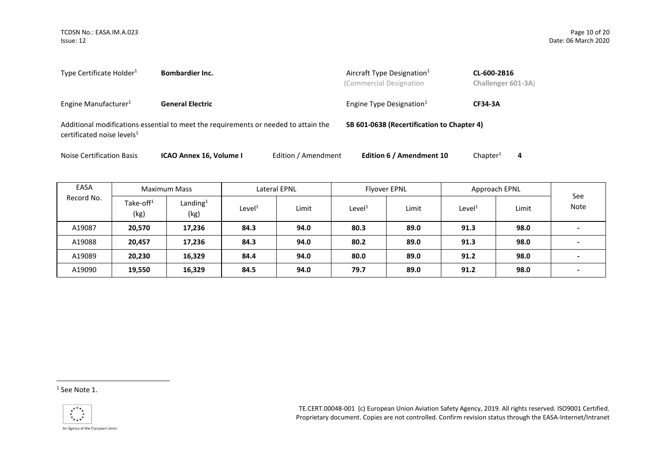TCDSN No.: EASA.IM.A.023 Page 10 of 20 Issue: 12 Date: 06 March 2020

| Type Certificate Holder <sup>1</sup>   | <b>Bombardier Inc.</b>                                                              |                     | Aircraft Type Designation <sup>1</sup><br>(Commercial Designation | CL-600-2B16<br>Challenger 601-3A) |
|----------------------------------------|-------------------------------------------------------------------------------------|---------------------|-------------------------------------------------------------------|-----------------------------------|
| Engine Manufacturer <sup>1</sup>       | <b>General Electric</b>                                                             |                     | Engine Type Designation <sup>1</sup>                              | <b>CF34-3A</b>                    |
| certificated noise levels <sup>1</sup> | Additional modifications essential to meet the requirements or needed to attain the |                     | SB 601-0638 (Recertification to Chapter 4)                        |                                   |
| <b>Noise Certification Basis</b>       | ICAO Annex 16, Volume I                                                             | Edition / Amendment | Edition 6 / Amendment 10                                          | Chapter <sup>1</sup><br>4         |

| EASA       | <b>Maximum Mass</b>  |                     | Lateral EPNL       |       | <b>Flyover EPNL</b> |       | Approach EPNL      |       |                    |
|------------|----------------------|---------------------|--------------------|-------|---------------------|-------|--------------------|-------|--------------------|
| Record No. | Take-off $1$<br>(kg) | Landing $1$<br>(kg) | Level <sup>1</sup> | Limit | Level <sup>1</sup>  | Limit | Level <sup>1</sup> | Limit | See<br><b>Note</b> |
| A19087     | 20,570               | 17,236              | 84.3               | 94.0  | 80.3                | 89.0  | 91.3               | 98.0  |                    |
| A19088     | 20,457               | 17,236              | 84.3               | 94.0  | 80.2                | 89.0  | 91.3               | 98.0  |                    |
| A19089     | 20,230               | 16,329              | 84.4               | 94.0  | 80.0                | 89.0  | 91.2               | 98.0  |                    |
| A19090     | 19,550               | 16,329              | 84.5               | 94.0  | 79.7                | 89.0  | 91.2               | 98.0  |                    |

 $<sup>1</sup>$  See Note 1.</sup>

 $\overline{a}$ 

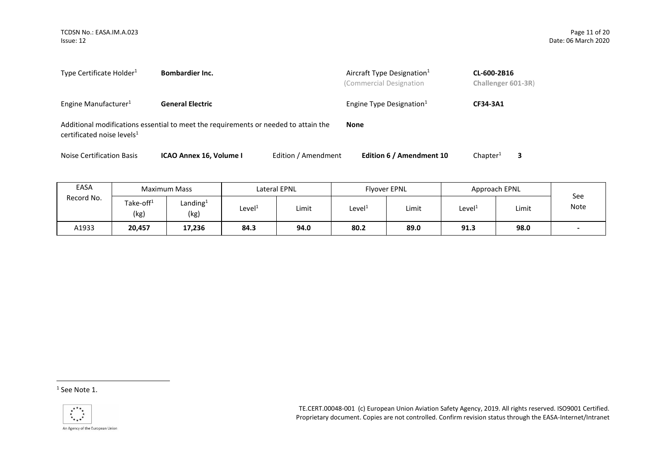Page 11 of 20<br>Issue: 12 Page 11 of 20<br>Date: 06 March 2020 Issue: 12 Date: 06 March 2020

| Type Certificate Holder <sup>1</sup><br><b>Bombardier Inc.</b> |                                                                                     |                     | Aircraft Type Designation <sup>1</sup><br>(Commercial Designation | CL-600-2B16          | Challenger 601-3R) |  |
|----------------------------------------------------------------|-------------------------------------------------------------------------------------|---------------------|-------------------------------------------------------------------|----------------------|--------------------|--|
| Engine Manufacturer <sup>1</sup>                               | <b>General Electric</b>                                                             |                     | Engine Type Designation <sup>1</sup>                              | CF34-3A1             |                    |  |
| certificated noise levels <sup>1</sup>                         | Additional modifications essential to meet the requirements or needed to attain the | <b>None</b>         |                                                                   |                      |                    |  |
| Noise Certification Basis                                      | <b>ICAO Annex 16, Volume I</b>                                                      | Edition / Amendment | Edition 6 / Amendment 10                                          | Chapter <sup>1</sup> | 3                  |  |

| EASA       | <b>Maximum Mass</b>           |                      | Lateral EPNL       |       | Flyover EPNL       |       | Approach EPNL |       |             |
|------------|-------------------------------|----------------------|--------------------|-------|--------------------|-------|---------------|-------|-------------|
| Record No. | Take-off <sup>1</sup><br>(kg) | Landing $^1$<br>(kg) | Level <sup>1</sup> | Limit | Level <sup>:</sup> | Limit | Level'        | Limit | See<br>Note |
| A1933      | 20,457                        | 17,236               | 84.3               | 94.0  | 80.2               | 89.0  | 91.3          | 98.0  |             |

 $<sup>1</sup>$  See Note 1.</sup>

 $\overline{a}$ 

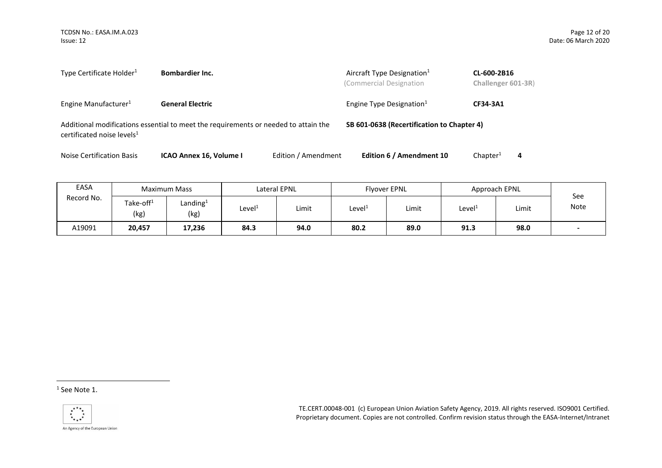TCDSN No.: EASA.IM.A.023 Page 12 of 20 Issue: 12 Date: 06 March 2020

| Type Certificate Holder <sup>1</sup>   | <b>Bombardier Inc.</b>                                                              |                                            | Aircraft Type Designation <sup>1</sup><br>(Commercial Designation | CL-600-2B16<br>Challenger 601-3R) |  |  |
|----------------------------------------|-------------------------------------------------------------------------------------|--------------------------------------------|-------------------------------------------------------------------|-----------------------------------|--|--|
| Engine Manufacturer <sup>1</sup>       | <b>General Electric</b>                                                             |                                            | Engine Type Designation <sup>1</sup>                              | CF34-3A1                          |  |  |
| certificated noise levels <sup>1</sup> | Additional modifications essential to meet the requirements or needed to attain the | SB 601-0638 (Recertification to Chapter 4) |                                                                   |                                   |  |  |
| Noise Certification Basis              | <b>ICAO Annex 16, Volume I</b>                                                      | Edition / Amendment                        | Edition 6 / Amendment 10                                          | Chapter <sup>1</sup><br>4         |  |  |

| EASA       | <b>Maximum Mass</b>           |                      | Lateral EPNL       |       | Flyover EPNL       |       | Approach EPNL |       |             |
|------------|-------------------------------|----------------------|--------------------|-------|--------------------|-------|---------------|-------|-------------|
| Record No. | Take-off <sup>1</sup><br>(kg) | Landing $^1$<br>(kg) | Level <sup>1</sup> | Limit | Level <sup>:</sup> | Limit | Level'        | Limit | See<br>Note |
| A19091     | 20,457                        | 17,236               | 84.3               | 94.0  | 80.2               | 89.0  | 91.3          | 98.0  |             |

 $<sup>1</sup>$  See Note 1.</sup>

 $\overline{a}$ 

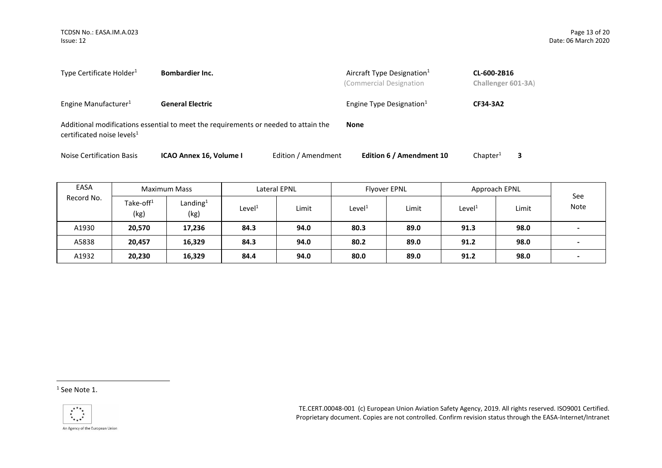Page 13 of 20 Page 13 of 20<br>Issue: 12 Pate: 06 March 2020 Issue: 12 Date: 06 March 2020

| Type Certificate Holder <sup>1</sup>   | <b>Bombardier Inc.</b>                                                              |                     | Aircraft Type Designation <sup>1</sup><br>(Commercial Designation | CL-600-2B16<br>Challenger 601-3A) |   |
|----------------------------------------|-------------------------------------------------------------------------------------|---------------------|-------------------------------------------------------------------|-----------------------------------|---|
| Engine Manufacturer <sup>1</sup>       | <b>General Electric</b>                                                             |                     | Engine Type Designation <sup>1</sup>                              | CF34-3A2                          |   |
| certificated noise levels <sup>1</sup> | Additional modifications essential to meet the requirements or needed to attain the |                     | <b>None</b>                                                       |                                   |   |
| <b>Noise Certification Basis</b>       | <b>ICAO Annex 16, Volume I</b>                                                      | Edition / Amendment | Edition 6 / Amendment 10                                          | Chanter <sup>1</sup>              | 3 |

| EASA<br><b>Maximum Mass</b> |                               |                     | Lateral EPNL       |       | <b>Flyover EPNL</b> |       | Approach EPNL      |       |                    |
|-----------------------------|-------------------------------|---------------------|--------------------|-------|---------------------|-------|--------------------|-------|--------------------|
| Record No.                  | Take-off <sup>1</sup><br>(kg) | Landing $1$<br>(kg) | Level <sup>1</sup> | Limit | Level <sup>1</sup>  | Limit | Level <sup>1</sup> | Limit | See<br><b>Note</b> |
| A1930                       | 20,570                        | 17,236              | 84.3               | 94.0  | 80.3                | 89.0  | 91.3               | 98.0  |                    |
| A5838                       | 20,457                        | 16,329              | 84.3               | 94.0  | 80.2                | 89.0  | 91.2               | 98.0  |                    |
| A1932                       | 20,230                        | 16,329              | 84.4               | 94.0  | 80.0                | 89.0  | 91.2               | 98.0  |                    |

 $<sup>1</sup>$  See Note 1.</sup>

 $\overline{a}$ 

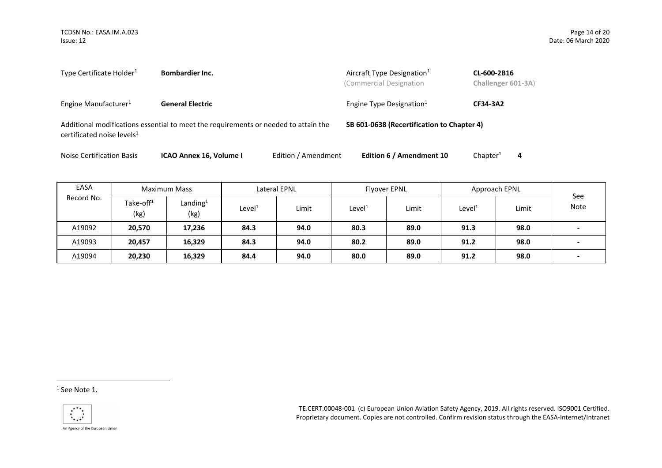TCDSN No.: EASA.IM.A.023 Page 14 of 20 Issue: 12 Date: 06 March 2020

| Type Certificate Holder <sup>1</sup>   | <b>Bombardier Inc.</b>                                                              |                     | Aircraft Type Designation <sup>1</sup><br>(Commercial Designation | CL-600-2B16<br>Challenger 601-3A) |  |
|----------------------------------------|-------------------------------------------------------------------------------------|---------------------|-------------------------------------------------------------------|-----------------------------------|--|
| Engine Manufacturer <sup>1</sup>       | <b>General Electric</b>                                                             |                     | Engine Type Designation <sup>1</sup>                              | CF34-3A2                          |  |
| certificated noise levels <sup>1</sup> | Additional modifications essential to meet the requirements or needed to attain the |                     | SB 601-0638 (Recertification to Chapter 4)                        |                                   |  |
| Noise Certification Basis              | <b>ICAO Annex 16, Volume I</b>                                                      | Edition / Amendment | Edition 6 / Amendment 10                                          | Chapter <sup>1</sup><br>4         |  |

| EASA       |                               | Maximum Mass                 | Lateral EPNL       |       | Flyover EPNL |       | Approach EPNL      |       |                    |
|------------|-------------------------------|------------------------------|--------------------|-------|--------------|-------|--------------------|-------|--------------------|
| Record No. | Take-off <sup>1</sup><br>(kg) | Landing <sup>1</sup><br>(kg) | Level <sup>1</sup> | Limit | Level $1$    | Limit | Level <sup>1</sup> | Limit | See<br><b>Note</b> |
| A19092     | 20,570                        | 17,236                       | 84.3               | 94.0  | 80.3         | 89.0  | 91.3               | 98.0  |                    |
| A19093     | 20,457                        | 16,329                       | 84.3               | 94.0  | 80.2         | 89.0  | 91.2               | 98.0  |                    |
| A19094     | 20,230                        | 16,329                       | 84.4               | 94.0  | 80.0         | 89.0  | 91.2               | 98.0  |                    |

 $<sup>1</sup>$  See Note 1.</sup>

 $\overline{a}$ 

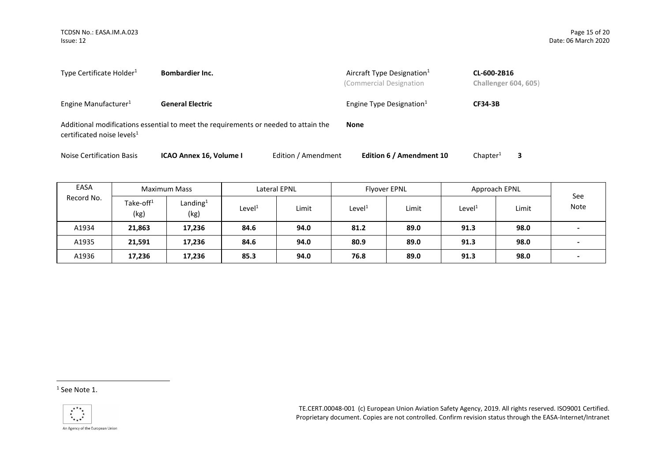TCDSN No.: EASA.IM.A.023 Page 15 of 20 Issue: 12 Date: 06 March 2020

| Type Certificate Holder <sup>1</sup>   | <b>Bombardier Inc.</b>                                                              |                     | Aircraft Type Designation <sup>1</sup><br>(Commercial Designation | CL-600-2B16<br><b>Challenger 604, 605)</b> |              |
|----------------------------------------|-------------------------------------------------------------------------------------|---------------------|-------------------------------------------------------------------|--------------------------------------------|--------------|
| Engine Manufacturer <sup>1</sup>       | <b>General Electric</b>                                                             |                     | Engine Type Designation <sup>1</sup>                              | <b>CF34-3B</b>                             |              |
| certificated noise levels <sup>1</sup> | Additional modifications essential to meet the requirements or needed to attain the |                     | <b>None</b>                                                       |                                            |              |
| Noise Certification Basis              | <b>ICAO Annex 16, Volume I</b>                                                      | Edition / Amendment | Edition 6 / Amendment 10                                          | Chanter <sup>1</sup>                       | $\mathbf{z}$ |

| EASA       |                               | <b>Maximum Mass</b> | Lateral EPNL       |       | Flyover EPNL |       | Approach EPNL |       | See  |
|------------|-------------------------------|---------------------|--------------------|-------|--------------|-------|---------------|-------|------|
| Record No. | Take-off <sup>1</sup><br>(kg) | Landing $1$<br>(kg) | Level <sup>1</sup> | Limit | Level $1$    | Limit | Level $1$     | Limit | Note |
| A1934      | 21,863                        | 17,236              | 84.6               | 94.0  | 81.2         | 89.0  | 91.3          | 98.0  |      |
| A1935      | 21,591                        | 17,236              | 84.6               | 94.0  | 80.9         | 89.0  | 91.3          | 98.0  |      |
| A1936      | 17,236                        | 17,236              | 85.3               | 94.0  | 76.8         | 89.0  | 91.3          | 98.0  |      |

 $<sup>1</sup>$  See Note 1.</sup>

 $\overline{a}$ 

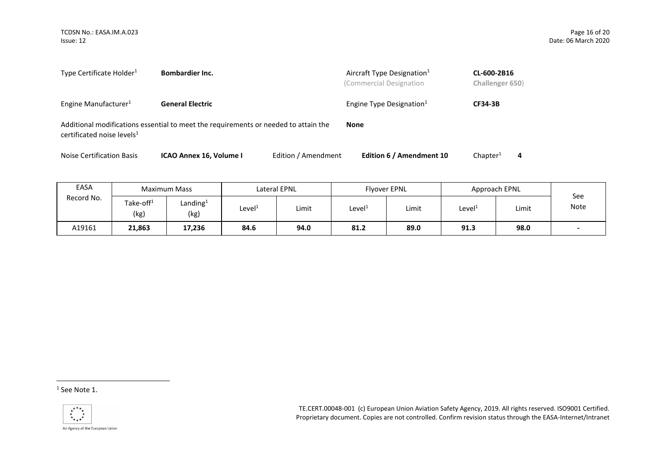TCDSN No.: EASA.IM.A.023 Page 16 of 20 Issue: 12 Date: 06 March 2020

| Type Certificate Holder <sup>1</sup>                                                                                          | <b>Bombardier Inc.</b>         |                     | Aircraft Type Designation <sup>1</sup><br>(Commercial Designation | CL-600-2B16<br>Challenger 650) |
|-------------------------------------------------------------------------------------------------------------------------------|--------------------------------|---------------------|-------------------------------------------------------------------|--------------------------------|
| Engine Manufacturer <sup>1</sup>                                                                                              | <b>General Electric</b>        |                     | Engine Type Designation <sup>1</sup>                              | <b>CF34-3B</b>                 |
| Additional modifications essential to meet the requirements or needed to attain the<br>certificated noise levels <sup>1</sup> |                                |                     | <b>None</b>                                                       |                                |
| Noise Certification Basis                                                                                                     | <b>ICAO Annex 16, Volume I</b> | Edition / Amendment | Edition 6 / Amendment 10                                          | Chapter <sup>1</sup><br>4      |

| EASA       |                               | <b>Maximum Mass</b>          | Lateral EPNL       |       | Flyover EPNL     |       | Approach EPNL |       |             |
|------------|-------------------------------|------------------------------|--------------------|-------|------------------|-------|---------------|-------|-------------|
| Record No. | Take-off <sup>1</sup><br>(kg) | Landing <sup>1</sup><br>(kg) | Level <sup>:</sup> | Limit | Level $^{\rm 1}$ | Limit | Level'        | Limit | See<br>Note |
| A19161     | 21,863                        | 17,236                       | 84.6               | 94.0  | 81.2             | 89.0  | 91.3          | 98.0  |             |

 $<sup>1</sup>$  See Note 1.</sup>

 $\overline{a}$ 

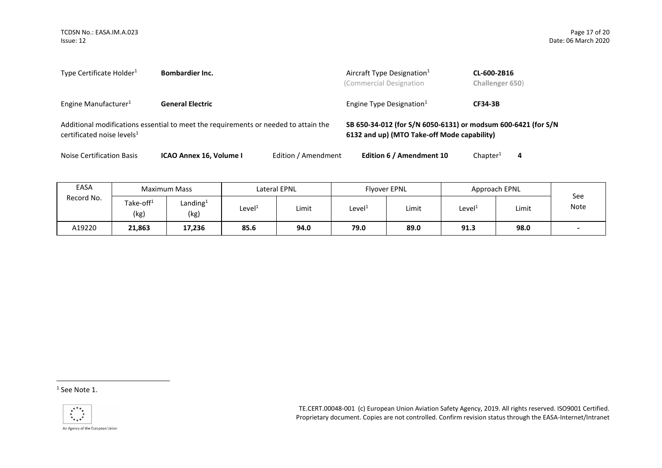Page 17 of 20<br>Issue: 12 Page 17 of 20<br>Date: 06 March 2020 Issue: 12 Date: 06 March 2020

| Type Certificate Holder <sup>1</sup>                                                                                          | <b>Bombardier Inc.</b>         |                     | Aircraft Type Designation <sup>1</sup><br>(Commercial Designation                                            | CL-600-2B16<br>Challenger 650) |   |
|-------------------------------------------------------------------------------------------------------------------------------|--------------------------------|---------------------|--------------------------------------------------------------------------------------------------------------|--------------------------------|---|
| Engine Manufacturer <sup>1</sup>                                                                                              | <b>General Electric</b>        |                     | Engine Type Designation <sup>1</sup>                                                                         | <b>CF34-3B</b>                 |   |
| Additional modifications essential to meet the requirements or needed to attain the<br>certificated noise levels <sup>1</sup> |                                |                     | SB 650-34-012 (for S/N 6050-6131) or modsum 600-6421 (for S/N<br>6132 and up) (MTO Take-off Mode capability) |                                |   |
| Noise Certification Basis                                                                                                     | <b>ICAO Annex 16, Volume I</b> | Edition / Amendment | Edition 6 / Amendment 10                                                                                     | Chapter <sup>1</sup>           | 4 |

| EASA       |                               | <b>Maximum Mass</b>          | Lateral EPNL       |       | <b>Flyover EPNL</b> |       | Approach EPNL |       |             |
|------------|-------------------------------|------------------------------|--------------------|-------|---------------------|-------|---------------|-------|-------------|
| Record No. | Take-off <sup>1</sup><br>(kg) | Landing <sup>1</sup><br>(kg) | Level <sup>1</sup> | Limit | Level <sup>:</sup>  | Limit | Level'        | Limit | See<br>Note |
| A19220     | 21,863                        | 17,236                       | 85.6               | 94.0  | 79.0                | 89.0  | 91.3          | 98.0  |             |

 $<sup>1</sup>$  See Note 1.</sup>

 $\overline{a}$ 

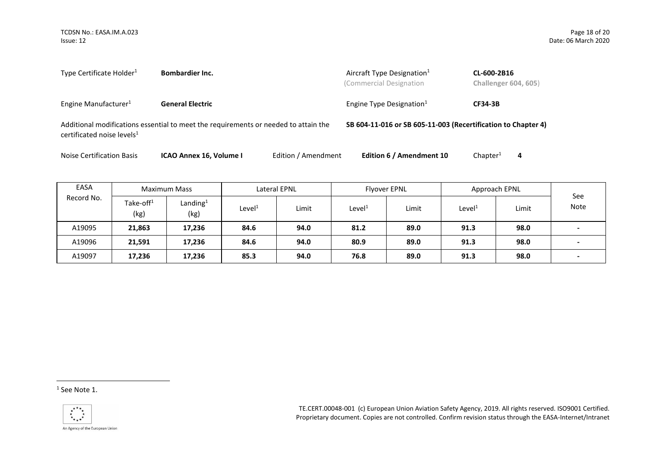Page 18 of 20<br>Issue: 12 Page 18 of 20<br>Date: 06 March 2020 Issue: 12 Date: 06 March 2020

| Type Certificate Holder <sup>1</sup>   | <b>Bombardier Inc.</b>                                                              |                     | Aircraft Type Designation <sup>1</sup><br>(Commercial Designation | CL-600-2B16<br><b>Challenger 604, 605)</b> |
|----------------------------------------|-------------------------------------------------------------------------------------|---------------------|-------------------------------------------------------------------|--------------------------------------------|
| Engine Manufacturer <sup>1</sup>       | <b>General Electric</b>                                                             |                     | Engine Type Designation <sup>1</sup>                              | <b>CF34-3B</b>                             |
| certificated noise levels <sup>1</sup> | Additional modifications essential to meet the requirements or needed to attain the |                     | SB 604-11-016 or SB 605-11-003 (Recertification to Chapter 4)     |                                            |
| Noise Certification Basis              | ICAO Annex 16, Volume I                                                             | Edition / Amendment | Edition 6 / Amendment 10                                          | Chapter <sup>1</sup><br>4                  |

| EASA       |                               | <b>Maximum Mass</b> | <b>Lateral EPNL</b> |       | Flyover EPNL       |       | Approach EPNL      |       |                    |
|------------|-------------------------------|---------------------|---------------------|-------|--------------------|-------|--------------------|-------|--------------------|
| Record No. | Take-off <sup>1</sup><br>(kg) | Landing $1$<br>(kg) | Level <sup>1</sup>  | Limit | Level <sup>1</sup> | Limit | Level <sup>1</sup> | Limit | See<br><b>Note</b> |
| A19095     | 21,863                        | 17,236              | 84.6                | 94.0  | 81.2               | 89.0  | 91.3               | 98.0  |                    |
| A19096     | 21,591                        | 17,236              | 84.6                | 94.0  | 80.9               | 89.0  | 91.3               | 98.0  |                    |
| A19097     | 17,236                        | 17,236              | 85.3                | 94.0  | 76.8               | 89.0  | 91.3               | 98.0  |                    |

 $<sup>1</sup>$  See Note 1.</sup>

 $\overline{a}$ 

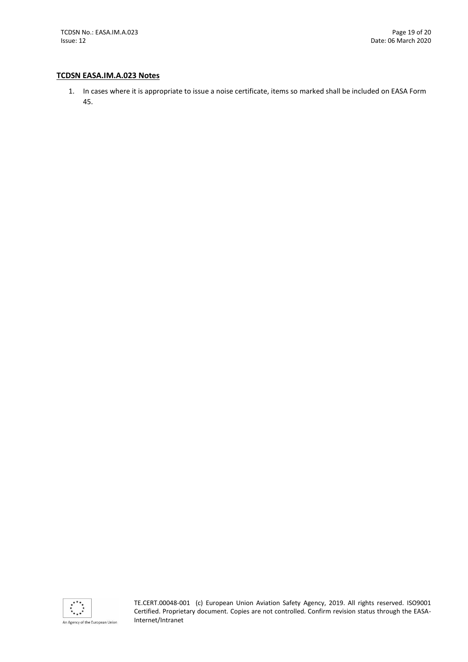## **TCDSN EASA.IM.A.023 Notes**

1. In cases where it is appropriate to issue a noise certificate, items so marked shall be included on EASA Form 45.